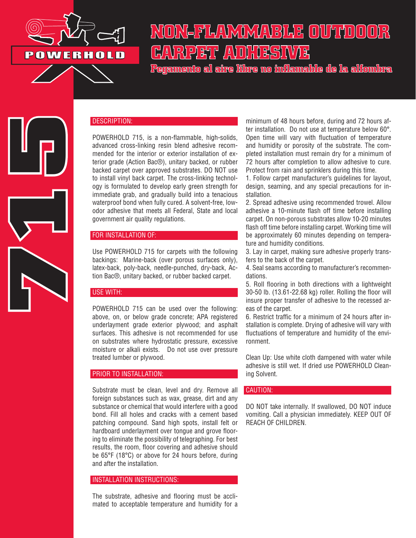

# NON-FLAMMABLE OUTDOOR CARPET ADHESIWE

Pegamento al aire libre no inflamable de la alfombra



## DESCRIPTION:

POWERHOLD 715, is a non-flammable, high-solids, advanced cross-linking resin blend adhesive recommended for the interior or exterior installation of exterior grade (Action Bac®), unitary backed, or rubber backed carpet over approved substrates. DO NOT use to install vinyl back carpet. The cross-linking technology is formulated to develop early green strength for immediate grab, and gradually build into a tenacious waterproof bond when fully cured. A solvent-free, lowodor adhesive that meets all Federal, State and local government air quality regulations.

## FOR INSTALLATION OF:

Use POWERHOLD 715 for carpets with the following backings: Marine-back (over porous surfaces only), latex-back, poly-back, needle-punched, dry-back, Action Bac®, unitary backed, or rubber backed carpet.

#### USE WITH:

POWERHOLD 715 can be used over the following: above, on, or below grade concrete; APA registered underlayment grade exterior plywood; and asphalt surfaces. This adhesive is not recommended for use on substrates where hydrostatic pressure, excessive moisture or alkali exists. Do not use over pressure treated lumber or plywood.

#### PRIOR TO INSTALLATION:

Substrate must be clean, level and dry. Remove all foreign substances such as wax, grease, dirt and any substance or chemical that would interfere with a good bond. Fill all holes and cracks with a cement based patching compound. Sand high spots, install felt or hardboard underlayment over tongue and grove flooring to eliminate the possibility of telegraphing. For best results, the room, floor covering and adhesive should be 65°F (18°C) or above for 24 hours before, during and after the installation.

# INSTALLATION INSTRUCTIONS:

The substrate, adhesive and flooring must be acclimated to acceptable temperature and humidity for a

minimum of 48 hours before, during and 72 hours after installation. Do not use at temperature below 60°. Open time will vary with fluctuation of temperature and humidity or porosity of the substrate. The completed installation must remain dry for a minimum of 72 hours after completion to allow adhesive to cure. Protect from rain and sprinklers during this time.

1. Follow carpet manufacturer's guidelines for layout, design, seaming, and any special precautions for installation.

2. Spread adhesive using recommended trowel. Allow adhesive a 10-minute flash off time before installing carpet. On non-porous substrates allow 10-20 minutes flash off time before installing carpet. Working time will be approximately 60 minutes depending on temperature and humidity conditions.

3. Lay in carpet, making sure adhesive properly transfers to the back of the carpet.

4. Seal seams according to manufacturer's recommendations.

5. Roll flooring in both directions with a lightweight 30-50 lb. (13.61-22.68 kg) roller. Rolling the floor will insure proper transfer of adhesive to the recessed areas of the carpet.

6. Restrict traffic for a minimum of 24 hours after installation is complete. Drying of adhesive will vary with fluctuations of temperature and humidity of the environment.

Clean Up: Use white cloth dampened with water while adhesive is still wet. If dried use POWERHOLD Cleaning Solvent.

# CAUTION:

DO NOT take internally. If swallowed, DO NOT induce vomiting. Call a physician immediately. KEEP OUT OF REACH OF CHILDREN.